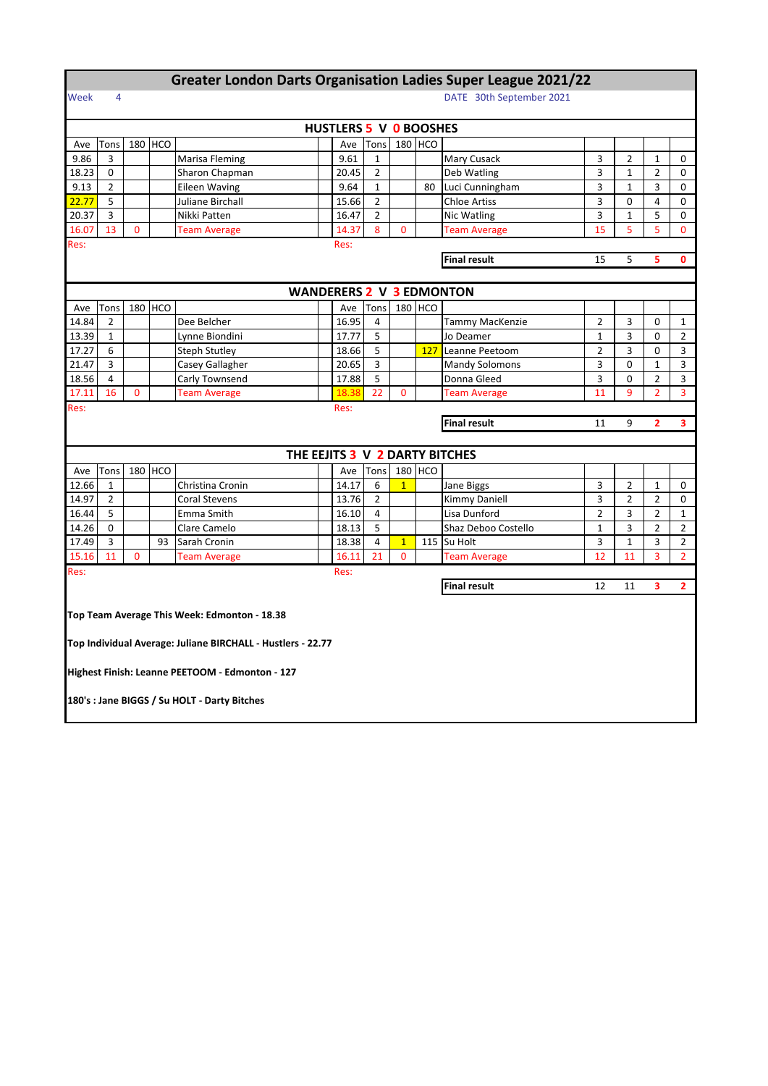## **Greater London Darts Organisation Ladies Super League 2021/22**

## Week 4 DATE 30th September 2021

|                     |                |             |         |                                                             |  | HUSTLERS 5 V 0 BOOSHES |                |              |                     |                                 |                |                |                |                |
|---------------------|----------------|-------------|---------|-------------------------------------------------------------|--|------------------------|----------------|--------------|---------------------|---------------------------------|----------------|----------------|----------------|----------------|
| Ave                 | Tons           |             | 180 HCO |                                                             |  | Ave                    | Tons           |              | 180 HCO             |                                 |                |                |                |                |
| 9.86                | 3              |             |         | Marisa Fleming                                              |  | 9.61                   | 1              |              |                     | Mary Cusack                     | 3              | $\overline{2}$ | $\mathbf{1}$   | 0              |
| 18.23               | $\Omega$       |             |         | Sharon Chapman                                              |  | 20.45                  | 2              |              |                     | Deb Watling                     | 3              | $\mathbf{1}$   | $\overline{2}$ | 0              |
| 9.13                | 2              |             |         | <b>Eileen Waving</b>                                        |  | 9.64                   | $\mathbf{1}$   |              | 80                  | Luci Cunningham                 | 3              | $\mathbf{1}$   | 3              | 0              |
| 22.77               | 5              |             |         | Juliane Birchall                                            |  | 15.66                  | $\overline{2}$ |              |                     | <b>Chloe Artiss</b>             | 3              | 0              | 4              | 0              |
| 20.37               | 3              |             |         | Nikki Patten                                                |  | 16.47                  | $\overline{2}$ |              |                     | Nic Watling                     | 3              | $\mathbf{1}$   | 5              | 0              |
| 16.07               | 13             | 0           |         | <b>Team Average</b>                                         |  | 14.37                  | 8              | $\mathbf{0}$ |                     | <b>Team Average</b>             | 15             | 5              | 5              | $\mathbf{0}$   |
| Res:<br>Res:        |                |             |         |                                                             |  |                        |                |              |                     |                                 |                |                |                |                |
|                     |                |             |         |                                                             |  |                        |                |              | <b>Final result</b> | 15                              | 5              | 5              | 0              |                |
|                     |                |             |         |                                                             |  |                        |                |              |                     |                                 |                |                |                |                |
|                     |                |             |         |                                                             |  |                        |                |              |                     | <b>WANDERERS 2 V 3 EDMONTON</b> |                |                |                |                |
| Ave                 | Tons           |             | 180 HCO |                                                             |  | Ave                    | Tons           |              | 180 HCO             |                                 |                |                |                |                |
| 14.84               | $\overline{2}$ |             |         | Dee Belcher                                                 |  | 16.95                  | 4              |              |                     | Tammy MacKenzie                 | $\overline{2}$ | 3              | 0              | 1              |
| 13.39               | $\mathbf{1}$   |             |         | Lynne Biondini                                              |  | 17.77                  | 5              |              |                     | Jo Deamer                       | $\mathbf{1}$   | 3              | 0              | $\overline{2}$ |
| 17.27               | 6              |             |         | <b>Steph Stutley</b>                                        |  | 18.66                  | 5              |              | 127                 | Leanne Peetoom                  | $\overline{2}$ | 3              | 0              | 3              |
| 21.47               | 3              |             |         | Casey Gallagher                                             |  | 20.65                  | 3              |              |                     | <b>Mandy Solomons</b>           | 3              | $\Omega$       | $\mathbf{1}$   | 3              |
| 18.56               | 4              |             |         | Carly Townsend                                              |  | 17.88                  | 5              |              |                     | Donna Gleed                     | 3              | 0              | $\overline{2}$ | 3              |
| 17.11               | 16             | 0           |         | <b>Team Average</b>                                         |  | 18.38                  | 22             | 0            |                     | <b>Team Average</b>             | 11             | 9              | $\overline{2}$ | 3              |
| Res:                |                |             |         |                                                             |  | Res:                   |                |              |                     |                                 |                |                |                |                |
| <b>Final result</b> |                |             |         |                                                             |  |                        |                | 11           | 9                   | $\overline{2}$                  | 3              |                |                |                |
|                     |                |             |         |                                                             |  |                        |                |              |                     |                                 |                |                |                |                |
|                     |                |             |         |                                                             |  |                        |                |              |                     | THE EEJITS 3 V 2 DARTY BITCHES  |                |                |                |                |
| Ave                 | Tons           |             | 180 HCO |                                                             |  | Ave                    | Tons           |              | 180 HCO             |                                 |                |                |                |                |
| 12.66               | $\mathbf{1}$   |             |         | Christina Cronin                                            |  | 14.17                  | 6              | $\mathbf{1}$ |                     | Jane Biggs                      | 3              | $\overline{2}$ | $\mathbf{1}$   | 0              |
| 14.97               | 2              |             |         | <b>Coral Stevens</b>                                        |  | 13.76                  | $\overline{2}$ |              |                     | Kimmy Daniell                   | 3              | $\overline{2}$ | $\overline{2}$ | 0              |
| 16.44               | 5              |             |         | Emma Smith                                                  |  | 16.10                  | 4              |              |                     | Lisa Dunford                    | $\overline{2}$ | 3              | $\overline{2}$ | $\mathbf{1}$   |
| 14.26               | $\Omega$       |             |         | Clare Camelo                                                |  | 18.13                  | 5              |              |                     | Shaz Deboo Costello             | $\mathbf{1}$   | 3              | $\overline{2}$ | $\overline{2}$ |
|                     |                |             | 93      | Sarah Cronin                                                |  | 18.38                  | 4              | $\mathbf{1}$ |                     | 115 Su Holt                     | 3              | $\mathbf{1}$   | 3              | $\overline{2}$ |
| 17.49               | 3              |             |         |                                                             |  |                        | 21             | $\mathbf{0}$ |                     | <b>Team Average</b>             | 12             | 11             | 3              | $\overline{2}$ |
| 15.16               | 11             | $\mathbf 0$ |         | <b>Team Average</b>                                         |  | 16.11                  |                |              |                     |                                 |                |                |                |                |
| Res:                |                |             |         |                                                             |  | Res:                   |                |              |                     |                                 |                |                |                |                |
|                     |                |             |         |                                                             |  |                        |                |              |                     | <b>Final result</b>             | 12             | 11             | 3              | $\overline{2}$ |
|                     |                |             |         |                                                             |  |                        |                |              |                     |                                 |                |                |                |                |
|                     |                |             |         | Top Team Average This Week: Edmonton - 18.38                |  |                        |                |              |                     |                                 |                |                |                |                |
|                     |                |             |         |                                                             |  |                        |                |              |                     |                                 |                |                |                |                |
|                     |                |             |         | Top Individual Average: Juliane BIRCHALL - Hustlers - 22.77 |  |                        |                |              |                     |                                 |                |                |                |                |
|                     |                |             |         |                                                             |  |                        |                |              |                     |                                 |                |                |                |                |
|                     |                |             |         | Highest Finish: Leanne PEETOOM - Edmonton - 127             |  |                        |                |              |                     |                                 |                |                |                |                |
|                     |                |             |         |                                                             |  |                        |                |              |                     |                                 |                |                |                |                |
|                     |                |             |         | 180's : Jane BIGGS / Su HOLT - Darty Bitches                |  |                        |                |              |                     |                                 |                |                |                |                |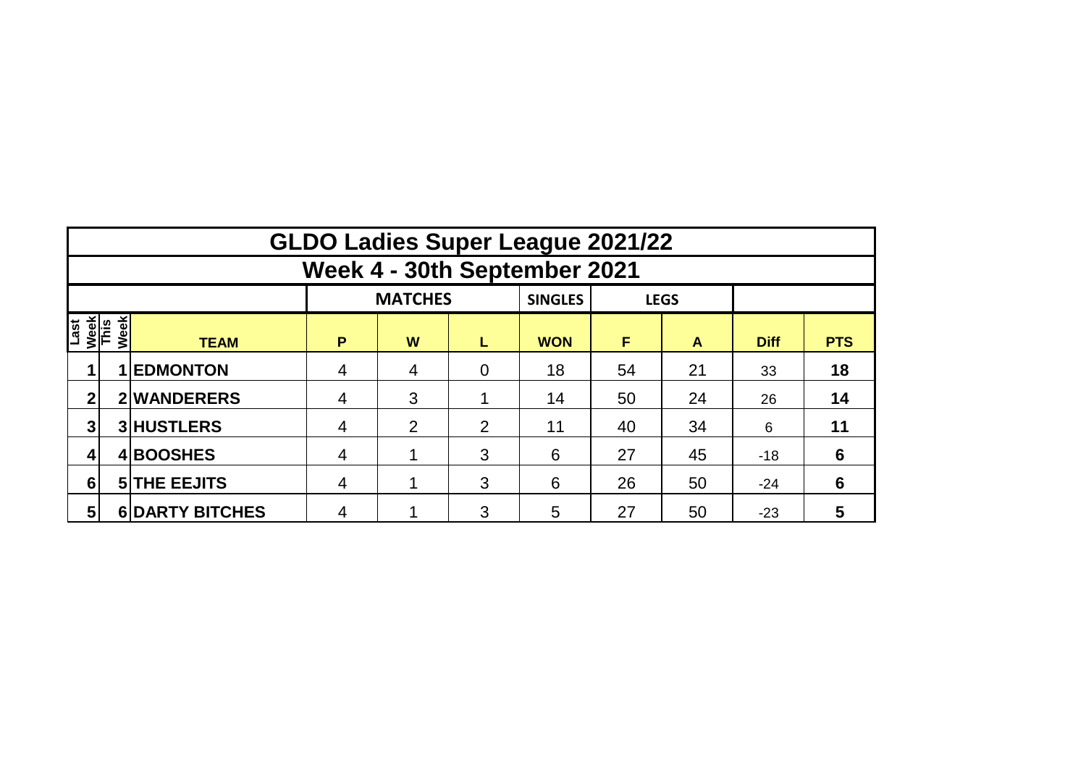|                             | <b>GLDO Ladies Super League 2021/22</b> |                        |                |                |                |                |    |             |             |                 |  |  |  |  |  |
|-----------------------------|-----------------------------------------|------------------------|----------------|----------------|----------------|----------------|----|-------------|-------------|-----------------|--|--|--|--|--|
|                             | Week 4 - 30th September 2021            |                        |                |                |                |                |    |             |             |                 |  |  |  |  |  |
|                             |                                         |                        |                | <b>MATCHES</b> |                | <b>SINGLES</b> |    | <b>LEGS</b> |             |                 |  |  |  |  |  |
| Last<br><u>Week</u><br>This | Week                                    | <b>TEAM</b>            | P              | W              | L              | <b>WON</b>     | F  | A           | <b>Diff</b> | <b>PTS</b>      |  |  |  |  |  |
|                             |                                         | <b>1 EDMONTON</b>      | 4              | 4              | $\overline{0}$ | 18             | 54 | 21          | 33          | 18              |  |  |  |  |  |
| 2                           |                                         | 2 WANDERERS            | 4              | 3              |                | 14             | 50 | 24          | 26          | 14              |  |  |  |  |  |
| 3                           |                                         | 3 HUSTLERS             | 4              | 2              | $\overline{2}$ | 11             | 40 | 34          | 6           | 11              |  |  |  |  |  |
|                             |                                         | 4BOOSHES               | 4              |                | 3              | 6              | 27 | 45          | $-18$       | $6\phantom{1}6$ |  |  |  |  |  |
| $6\phantom{1}$              |                                         | <b>5 THE EEJITS</b>    | 4              |                | 3              | 6              | 26 | 50          | $-24$       | 6               |  |  |  |  |  |
| $5\phantom{1}$              |                                         | <b>6 DARTY BITCHES</b> | $\overline{4}$ |                | 3              | 5              | 27 | 50          | $-23$       | 5               |  |  |  |  |  |